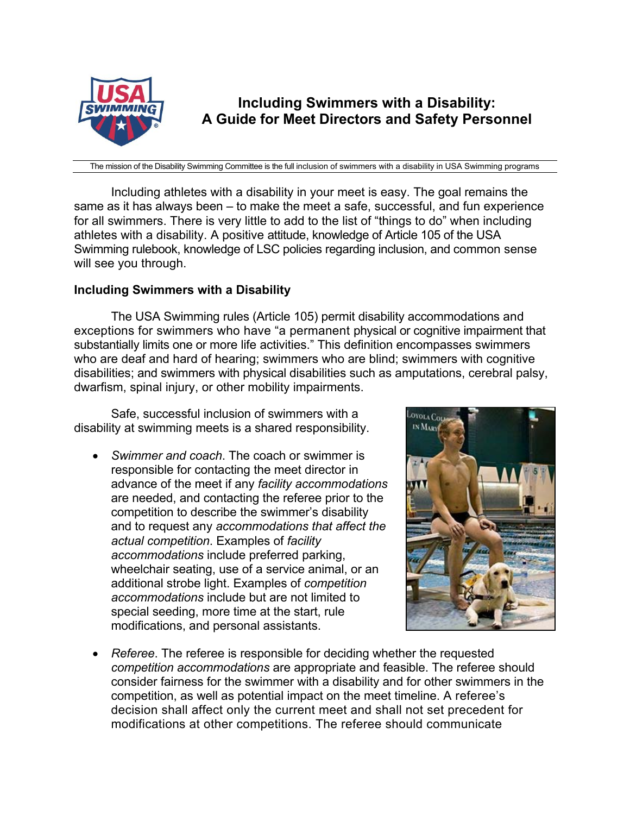

**Including Swimmers with a Disability: A Guide for Meet Directors and Safety Personnel** 

The mission of the Disability Swimming Committee is the full inclusion of swimmers with a disability in USA Swimming programs

Including athletes with a disability in your meet is easy. The goal remains the same as it has always been – to make the meet a safe, successful, and fun experience for all swimmers. There is very little to add to the list of "things to do" when including athletes with a disability. A positive attitude, knowledge of Article 105 of the USA Swimming rulebook, knowledge of LSC policies regarding inclusion, and common sense will see you through.

### **Including Swimmers with a Disability**

The USA Swimming rules (Article 105) permit disability accommodations and exceptions for swimmers who have "a permanent physical or cognitive impairment that substantially limits one or more life activities." This definition encompasses swimmers who are deaf and hard of hearing; swimmers who are blind; swimmers with cognitive disabilities; and swimmers with physical disabilities such as amputations, cerebral palsy, dwarfism, spinal injury, or other mobility impairments.

Safe, successful inclusion of swimmers with a disability at swimming meets is a shared responsibility.

• *Swimmer and coach*. The coach or swimmer is responsible for contacting the meet director in advance of the meet if any *facility accommodations* are needed, and contacting the referee prior to the competition to describe the swimmer's disability and to request any *accommodations that affect the actual competition*. Examples of *facility accommodations* include preferred parking, wheelchair seating, use of a service animal, or an additional strobe light. Examples of *competition accommodations* include but are not limited to special seeding, more time at the start, rule modifications, and personal assistants.



• *Referee*. The referee is responsible for deciding whether the requested *competition accommodations* are appropriate and feasible. The referee should consider fairness for the swimmer with a disability and for other swimmers in the competition, as well as potential impact on the meet timeline. A referee's decision shall affect only the current meet and shall not set precedent for modifications at other competitions. The referee should communicate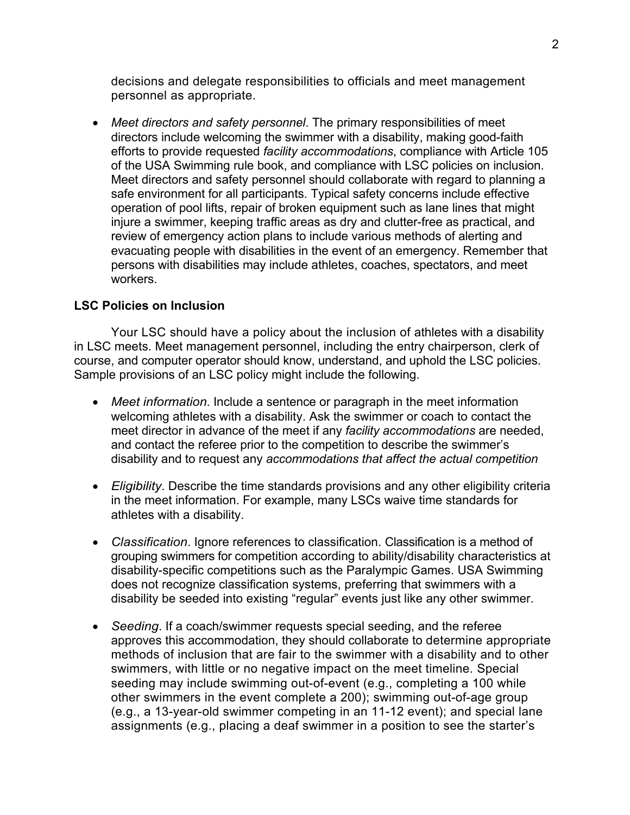decisions and delegate responsibilities to officials and meet management personnel as appropriate.

• *Meet directors and safety personnel*. The primary responsibilities of meet directors include welcoming the swimmer with a disability, making good-faith efforts to provide requested *facility accommodations*, compliance with Article 105 of the USA Swimming rule book, and compliance with LSC policies on inclusion. Meet directors and safety personnel should collaborate with regard to planning a safe environment for all participants. Typical safety concerns include effective operation of pool lifts, repair of broken equipment such as lane lines that might injure a swimmer, keeping traffic areas as dry and clutter-free as practical, and review of emergency action plans to include various methods of alerting and evacuating people with disabilities in the event of an emergency. Remember that persons with disabilities may include athletes, coaches, spectators, and meet workers.

## **LSC Policies on Inclusion**

Your LSC should have a policy about the inclusion of athletes with a disability in LSC meets. Meet management personnel, including the entry chairperson, clerk of course, and computer operator should know, understand, and uphold the LSC policies. Sample provisions of an LSC policy might include the following.

- *Meet information*. Include a sentence or paragraph in the meet information welcoming athletes with a disability. Ask the swimmer or coach to contact the meet director in advance of the meet if any *facility accommodations* are needed, and contact the referee prior to the competition to describe the swimmer's disability and to request any *accommodations that affect the actual competition*
- *Eligibility*. Describe the time standards provisions and any other eligibility criteria in the meet information. For example, many LSCs waive time standards for athletes with a disability.
- *Classification*. Ignore references to classification. Classification is a method of grouping swimmers for competition according to ability/disability characteristics at disability-specific competitions such as the Paralympic Games. USA Swimming does not recognize classification systems, preferring that swimmers with a disability be seeded into existing "regular" events just like any other swimmer.
- *Seeding*. If a coach/swimmer requests special seeding, and the referee approves this accommodation, they should collaborate to determine appropriate methods of inclusion that are fair to the swimmer with a disability and to other swimmers, with little or no negative impact on the meet timeline. Special seeding may include swimming out-of-event (e.g., completing a 100 while other swimmers in the event complete a 200); swimming out-of-age group (e.g., a 13-year-old swimmer competing in an 11-12 event); and special lane assignments (e.g., placing a deaf swimmer in a position to see the starter's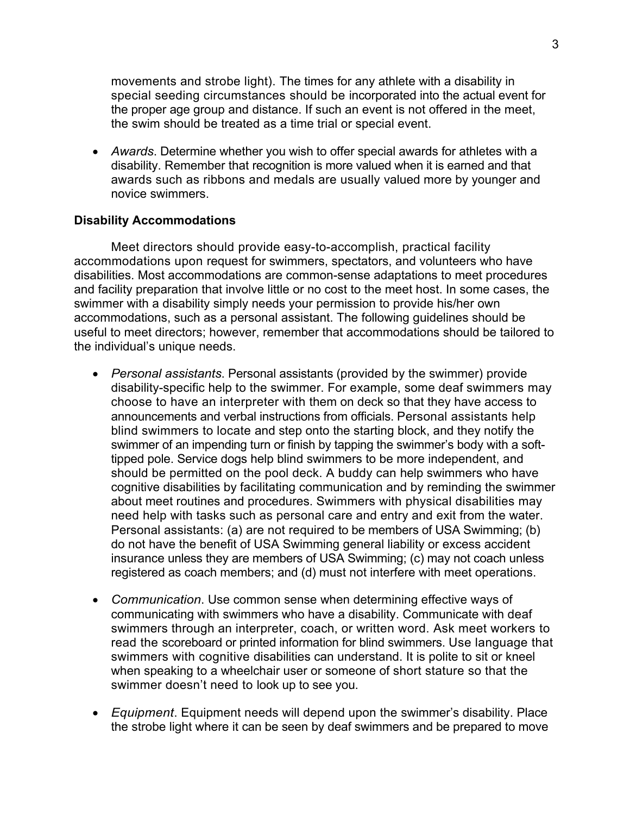movements and strobe light). The times for any athlete with a disability in special seeding circumstances should be incorporated into the actual event for the proper age group and distance. If such an event is not offered in the meet, the swim should be treated as a time trial or special event.

• *Awards*. Determine whether you wish to offer special awards for athletes with a disability. Remember that recognition is more valued when it is earned and that awards such as ribbons and medals are usually valued more by younger and novice swimmers.

#### **Disability Accommodations**

Meet directors should provide easy-to-accomplish, practical facility accommodations upon request for swimmers, spectators, and volunteers who have disabilities. Most accommodations are common-sense adaptations to meet procedures and facility preparation that involve little or no cost to the meet host. In some cases, the swimmer with a disability simply needs your permission to provide his/her own accommodations, such as a personal assistant. The following guidelines should be useful to meet directors; however, remember that accommodations should be tailored to the individual's unique needs.

- *Personal assistants*. Personal assistants (provided by the swimmer) provide disability-specific help to the swimmer. For example, some deaf swimmers may choose to have an interpreter with them on deck so that they have access to announcements and verbal instructions from officials. Personal assistants help blind swimmers to locate and step onto the starting block, and they notify the swimmer of an impending turn or finish by tapping the swimmer's body with a softtipped pole. Service dogs help blind swimmers to be more independent, and should be permitted on the pool deck. A buddy can help swimmers who have cognitive disabilities by facilitating communication and by reminding the swimmer about meet routines and procedures. Swimmers with physical disabilities may need help with tasks such as personal care and entry and exit from the water. Personal assistants: (a) are not required to be members of USA Swimming; (b) do not have the benefit of USA Swimming general liability or excess accident insurance unless they are members of USA Swimming; (c) may not coach unless registered as coach members; and (d) must not interfere with meet operations.
- *Communication*. Use common sense when determining effective ways of communicating with swimmers who have a disability. Communicate with deaf swimmers through an interpreter, coach, or written word. Ask meet workers to read the scoreboard or printed information for blind swimmers. Use language that swimmers with cognitive disabilities can understand. It is polite to sit or kneel when speaking to a wheelchair user or someone of short stature so that the swimmer doesn't need to look up to see you.
- *Equipment*. Equipment needs will depend upon the swimmer's disability. Place the strobe light where it can be seen by deaf swimmers and be prepared to move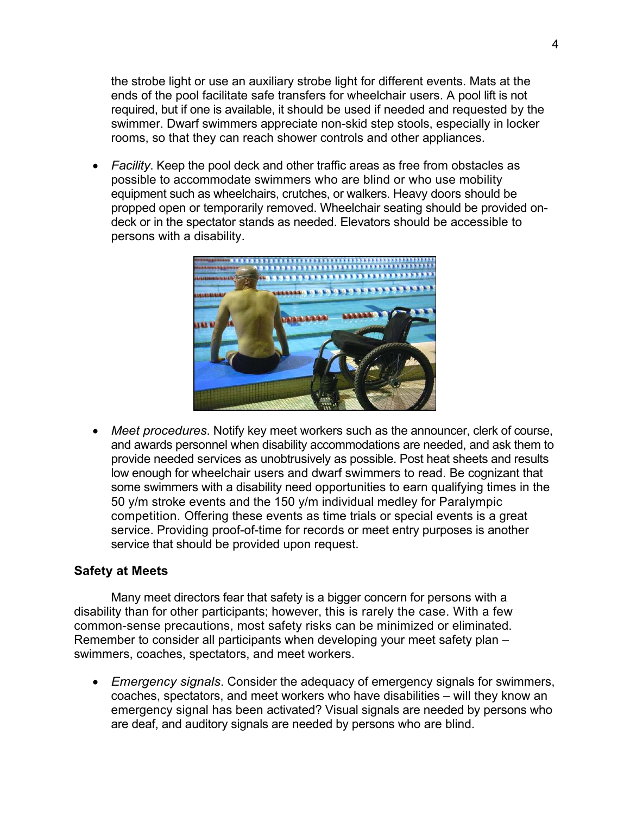the strobe light or use an auxiliary strobe light for different events. Mats at the ends of the pool facilitate safe transfers for wheelchair users. A pool lift is not required, but if one is available, it should be used if needed and requested by the swimmer. Dwarf swimmers appreciate non-skid step stools, especially in locker rooms, so that they can reach shower controls and other appliances.

• *Facility*. Keep the pool deck and other traffic areas as free from obstacles as possible to accommodate swimmers who are blind or who use mobility equipment such as wheelchairs, crutches, or walkers. Heavy doors should be propped open or temporarily removed. Wheelchair seating should be provided ondeck or in the spectator stands as needed. Elevators should be accessible to persons with a disability.



• *Meet procedures*. Notify key meet workers such as the announcer, clerk of course, and awards personnel when disability accommodations are needed, and ask them to provide needed services as unobtrusively as possible. Post heat sheets and results low enough for wheelchair users and dwarf swimmers to read. Be cognizant that some swimmers with a disability need opportunities to earn qualifying times in the 50 y/m stroke events and the 150 y/m individual medley for Paralympic competition. Offering these events as time trials or special events is a great service. Providing proof-of-time for records or meet entry purposes is another service that should be provided upon request.

### **Safety at Meets**

Many meet directors fear that safety is a bigger concern for persons with a disability than for other participants; however, this is rarely the case. With a few common-sense precautions, most safety risks can be minimized or eliminated. Remember to consider all participants when developing your meet safety plan – swimmers, coaches, spectators, and meet workers.

• *Emergency signals*. Consider the adequacy of emergency signals for swimmers, coaches, spectators, and meet workers who have disabilities – will they know an emergency signal has been activated? Visual signals are needed by persons who are deaf, and auditory signals are needed by persons who are blind.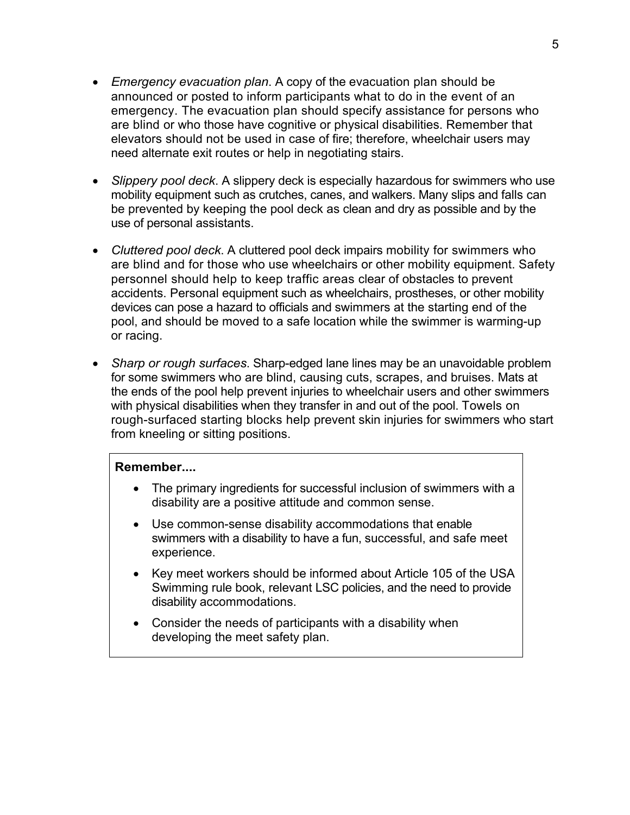- *Emergency evacuation plan*. A copy of the evacuation plan should be announced or posted to inform participants what to do in the event of an emergency. The evacuation plan should specify assistance for persons who are blind or who those have cognitive or physical disabilities. Remember that elevators should not be used in case of fire; therefore, wheelchair users may need alternate exit routes or help in negotiating stairs.
- *Slippery pool deck*. A slippery deck is especially hazardous for swimmers who use mobility equipment such as crutches, canes, and walkers. Many slips and falls can be prevented by keeping the pool deck as clean and dry as possible and by the use of personal assistants.
- *Cluttered pool deck*. A cluttered pool deck impairs mobility for swimmers who are blind and for those who use wheelchairs or other mobility equipment. Safety personnel should help to keep traffic areas clear of obstacles to prevent accidents. Personal equipment such as wheelchairs, prostheses, or other mobility devices can pose a hazard to officials and swimmers at the starting end of the pool, and should be moved to a safe location while the swimmer is warming-up or racing.
- *Sharp or rough surfaces*. Sharp-edged lane lines may be an unavoidable problem for some swimmers who are blind, causing cuts, scrapes, and bruises. Mats at the ends of the pool help prevent injuries to wheelchair users and other swimmers with physical disabilities when they transfer in and out of the pool. Towels on rough-surfaced starting blocks help prevent skin injuries for swimmers who start from kneeling or sitting positions.

## **Remember....**

- The primary ingredients for successful inclusion of swimmers with a disability are a positive attitude and common sense.
- Use common-sense disability accommodations that enable swimmers with a disability to have a fun, successful, and safe meet experience.
- Key meet workers should be informed about Article 105 of the USA Swimming rule book, relevant LSC policies, and the need to provide disability accommodations.
- Consider the needs of participants with a disability when developing the meet safety plan.